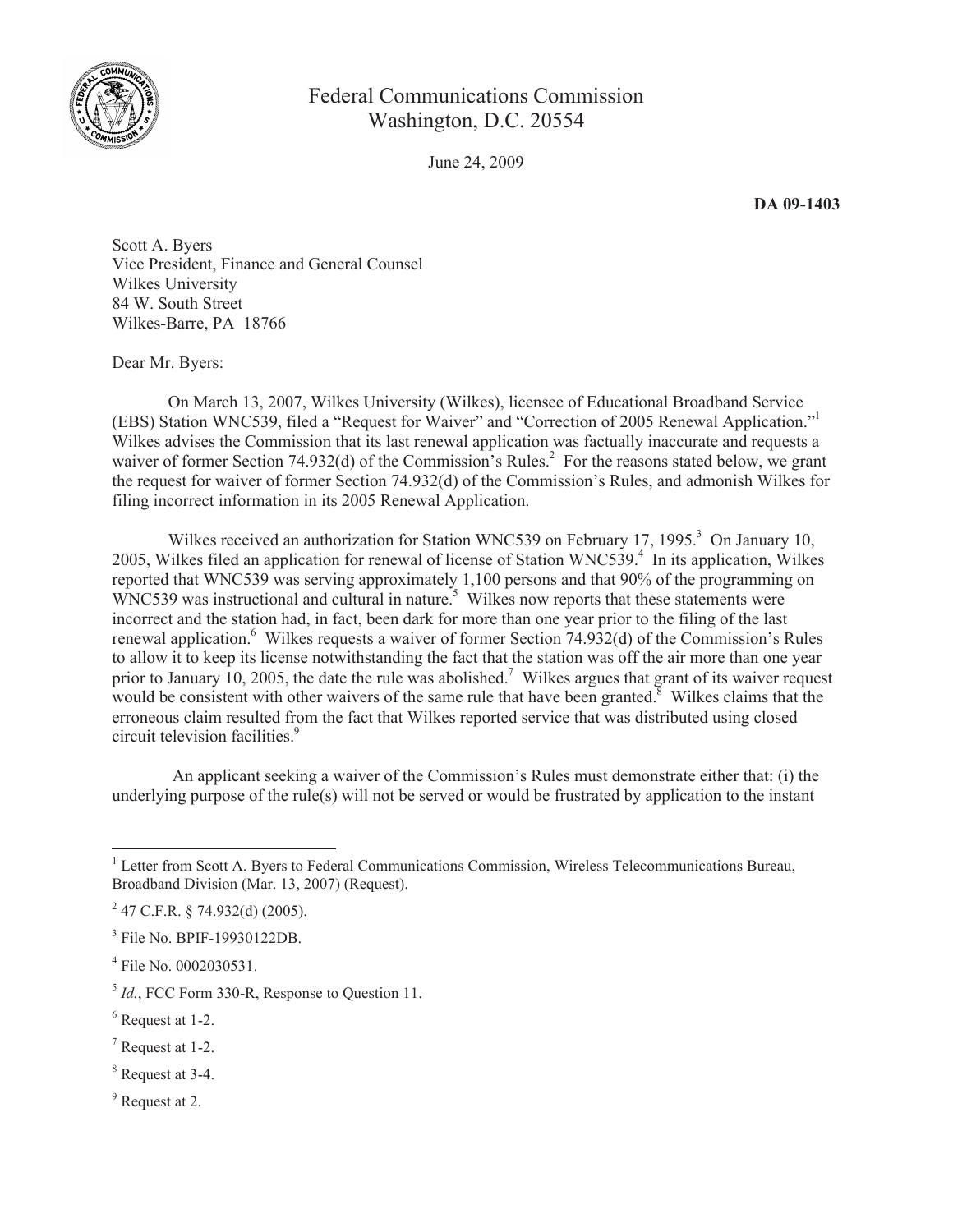

## Federal Communications Commission Washington, D.C. 20554

June 24, 2009

**DA 09-1403**

Scott A. Byers Vice President, Finance and General Counsel Wilkes University 84 W. South Street Wilkes-Barre, PA 18766

Dear Mr. Byers:

On March 13, 2007, Wilkes University (Wilkes), licensee of Educational Broadband Service (EBS) Station WNC539, filed a "Request for Waiver" and "Correction of 2005 Renewal Application."<sup>1</sup> Wilkes advises the Commission that its last renewal application was factually inaccurate and requests a waiver of former Section 74.932(d) of the Commission's Rules.<sup>2</sup> For the reasons stated below, we grant the request for waiver of former Section 74.932(d) of the Commission's Rules, and admonish Wilkes for filing incorrect information in its 2005 Renewal Application.

Wilkes received an authorization for Station WNC539 on February 17, 1995.<sup>3</sup> On January 10, 2005, Wilkes filed an application for renewal of license of Station WNC539.<sup>4</sup> In its application, Wilkes reported that WNC539 was serving approximately 1,100 persons and that 90% of the programming on WNC539 was instructional and cultural in nature.<sup>5</sup> Wilkes now reports that these statements were incorrect and the station had, in fact, been dark for more than one year prior to the filing of the last renewal application.<sup>6</sup> Wilkes requests a waiver of former Section 74.932(d) of the Commission's Rules to allow it to keep its license notwithstanding the fact that the station was off the air more than one year prior to January 10, 2005, the date the rule was abolished.<sup>7</sup> Wilkes argues that grant of its waiver request would be consistent with other waivers of the same rule that have been granted.<sup>8</sup> Wilkes claims that the erroneous claim resulted from the fact that Wilkes reported service that was distributed using closed circuit television facilities.<sup>9</sup>

An applicant seeking a waiver of the Commission's Rules must demonstrate either that: (i) the underlying purpose of the rule(s) will not be served or would be frustrated by application to the instant

- <sup>8</sup> Request at 3-4.
- <sup>9</sup> Request at 2.

<sup>&</sup>lt;sup>1</sup> Letter from Scott A. Byers to Federal Communications Commission, Wireless Telecommunications Bureau, Broadband Division (Mar. 13, 2007) (Request).

 $2^{2}$  47 C.F.R. § 74.932(d) (2005).

<sup>&</sup>lt;sup>3</sup> File No. BPIF-19930122DB.

<sup>4</sup> File No. 0002030531.

<sup>5</sup> *Id.*, FCC Form 330-R, Response to Question 11.

<sup>6</sup> Request at 1-2.

<sup>7</sup> Request at 1-2.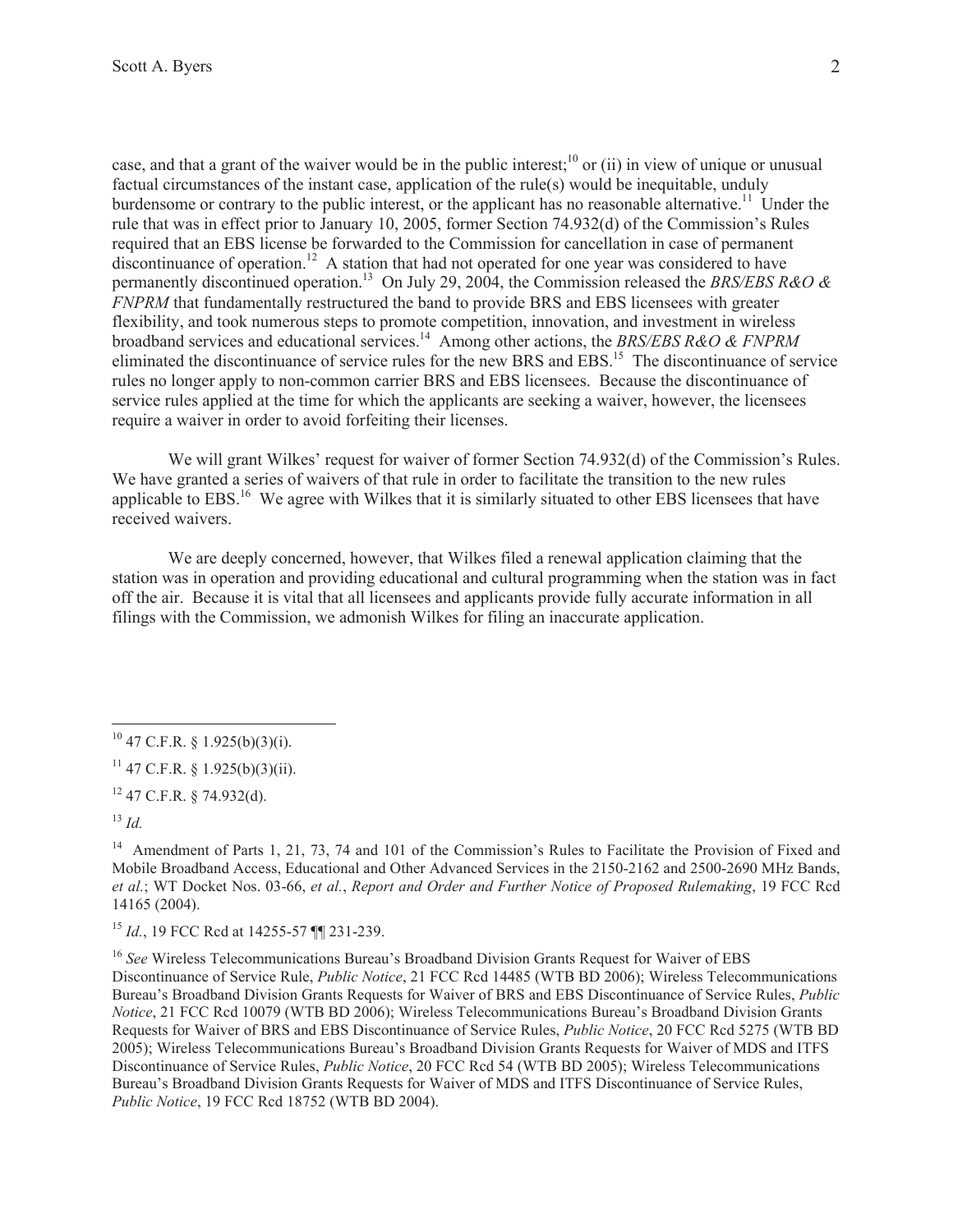case, and that a grant of the waiver would be in the public interest;<sup>10</sup> or (ii) in view of unique or unusual factual circumstances of the instant case, application of the rule(s) would be inequitable, unduly burdensome or contrary to the public interest, or the applicant has no reasonable alternative.<sup>11</sup> Under the rule that was in effect prior to January 10, 2005, former Section 74.932(d) of the Commission's Rules required that an EBS license be forwarded to the Commission for cancellation in case of permanent discontinuance of operation.<sup>12</sup> A station that had not operated for one year was considered to have permanently discontinued operation.<sup>13</sup> On July 29, 2004, the Commission released the *BRS/EBS R&O & FNPRM* that fundamentally restructured the band to provide BRS and EBS licensees with greater flexibility, and took numerous steps to promote competition, innovation, and investment in wireless broadband services and educational services.<sup>14</sup> Among other actions, the *BRS/EBS R&O & FNPRM* eliminated the discontinuance of service rules for the new BRS and EBS.<sup>15</sup> The discontinuance of service rules no longer apply to non-common carrier BRS and EBS licensees. Because the discontinuance of service rules applied at the time for which the applicants are seeking a waiver, however, the licensees require a waiver in order to avoid forfeiting their licenses.

We will grant Wilkes' request for waiver of former Section 74.932(d) of the Commission's Rules. We have granted a series of waivers of that rule in order to facilitate the transition to the new rules applicable to EBS.<sup>16</sup> We agree with Wilkes that it is similarly situated to other EBS licensees that have received waivers.

We are deeply concerned, however, that Wilkes filed a renewal application claiming that the station was in operation and providing educational and cultural programming when the station was in fact off the air. Because it is vital that all licensees and applicants provide fully accurate information in all filings with the Commission, we admonish Wilkes for filing an inaccurate application.

 $11$  47 C.F.R. § 1.925(b)(3)(ii).

 $12$  47 C.F.R. § 74.932(d).

<sup>13</sup> *Id.*

<sup>15</sup> *Id.*, 19 FCC Rcd at 14255-57 ¶¶ 231-239.

<sup>16</sup> See Wireless Telecommunications Bureau's Broadband Division Grants Request for Waiver of EBS Discontinuance of Service Rule, *Public Notice*, 21 FCC Rcd 14485 (WTB BD 2006); Wireless Telecommunications Bureau's Broadband Division Grants Requests for Waiver of BRS and EBS Discontinuance of Service Rules, *Public Notice*, 21 FCC Rcd 10079 (WTB BD 2006); Wireless Telecommunications Bureau's Broadband Division Grants Requests for Waiver of BRS and EBS Discontinuance of Service Rules, *Public Notice*, 20 FCC Rcd 5275 (WTB BD 2005); Wireless Telecommunications Bureau's Broadband Division Grants Requests for Waiver of MDS and ITFS Discontinuance of Service Rules, *Public Notice*, 20 FCC Rcd 54 (WTB BD 2005); Wireless Telecommunications Bureau's Broadband Division Grants Requests for Waiver of MDS and ITFS Discontinuance of Service Rules, *Public Notice*, 19 FCC Rcd 18752 (WTB BD 2004).

 $10$  47 C.F.R. § 1.925(b)(3)(i).

<sup>&</sup>lt;sup>14</sup> Amendment of Parts 1, 21, 73, 74 and 101 of the Commission's Rules to Facilitate the Provision of Fixed and Mobile Broadband Access, Educational and Other Advanced Services in the 2150-2162 and 2500-2690 MHz Bands, *et al.*; WT Docket Nos. 03-66, *et al.*, *Report and Order and Further Notice of Proposed Rulemaking*, 19 FCC Rcd 14165 (2004).